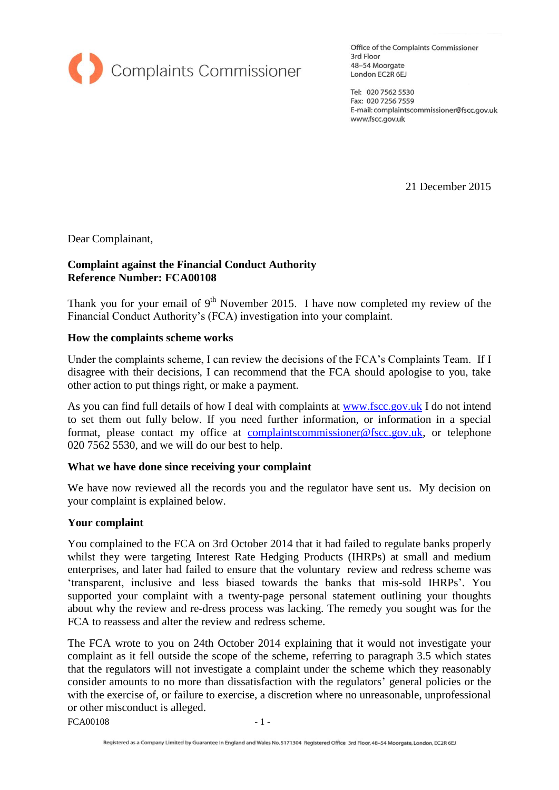

Office of the Complaints Commissioner 3rd Floor 48-54 Moorgate London EC2R 6EJ

Tel: 020 7562 5530 Fax: 020 7256 7559 E-mail: complaintscommissioner@fscc.gov.uk www.fscc.gov.uk

21 December 2015

Dear Complainant,

## **Complaint against the Financial Conduct Authority Reference Number: FCA00108**

Thank you for your email of  $9<sup>th</sup>$  November 2015. I have now completed my review of the Financial Conduct Authority's (FCA) investigation into your complaint.

## **How the complaints scheme works**

Under the complaints scheme, I can review the decisions of the FCA's Complaints Team. If I disagree with their decisions, I can recommend that the FCA should apologise to you, take other action to put things right, or make a payment.

As you can find full details of how I deal with complaints at [www.fscc.gov.uk](http://www.fscc.gov.uk/) I do not intend to set them out fully below. If you need further information, or information in a special format, please contact my office at [complaintscommissioner@fscc.gov.uk,](mailto:complaintscommissioner@fscc.gov.uk) or telephone 020 7562 5530, and we will do our best to help.

## **What we have done since receiving your complaint**

We have now reviewed all the records you and the regulator have sent us. My decision on your complaint is explained below.

## **Your complaint**

You complained to the FCA on 3rd October 2014 that it had failed to regulate banks properly whilst they were targeting Interest Rate Hedging Products (IHRPs) at small and medium enterprises, and later had failed to ensure that the voluntary review and redress scheme was 'transparent, inclusive and less biased towards the banks that mis-sold IHRPs'. You supported your complaint with a twenty-page personal statement outlining your thoughts about why the review and re-dress process was lacking. The remedy you sought was for the FCA to reassess and alter the review and redress scheme.

The FCA wrote to you on 24th October 2014 explaining that it would not investigate your complaint as it fell outside the scope of the scheme, referring to paragraph 3.5 which states that the regulators will not investigate a complaint under the scheme which they reasonably consider amounts to no more than dissatisfaction with the regulators' general policies or the with the exercise of, or failure to exercise, a discretion where no unreasonable, unprofessional or other misconduct is alleged.

 $FCA00108$   $-1$  -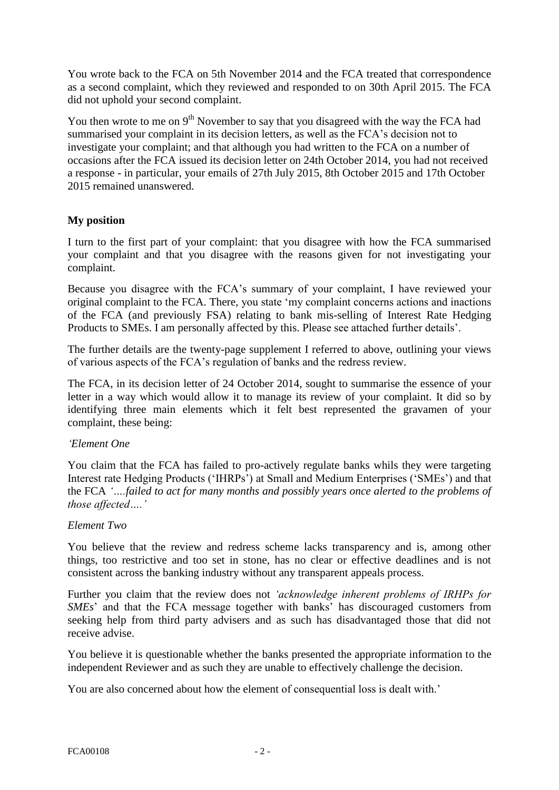You wrote back to the FCA on 5th November 2014 and the FCA treated that correspondence as a second complaint, which they reviewed and responded to on 30th April 2015. The FCA did not uphold your second complaint.

You then wrote to me on  $9<sup>th</sup>$  November to say that you disagreed with the way the FCA had summarised your complaint in its decision letters, as well as the FCA's decision not to investigate your complaint; and that although you had written to the FCA on a number of occasions after the FCA issued its decision letter on 24th October 2014, you had not received a response - in particular, your emails of 27th July 2015, 8th October 2015 and 17th October 2015 remained unanswered.

# **My position**

I turn to the first part of your complaint: that you disagree with how the FCA summarised your complaint and that you disagree with the reasons given for not investigating your complaint.

Because you disagree with the FCA's summary of your complaint, I have reviewed your original complaint to the FCA. There, you state 'my complaint concerns actions and inactions of the FCA (and previously FSA) relating to bank mis-selling of Interest Rate Hedging Products to SMEs. I am personally affected by this. Please see attached further details'.

The further details are the twenty-page supplement I referred to above, outlining your views of various aspects of the FCA's regulation of banks and the redress review.

The FCA, in its decision letter of 24 October 2014, sought to summarise the essence of your letter in a way which would allow it to manage its review of your complaint. It did so by identifying three main elements which it felt best represented the gravamen of your complaint, these being:

## *'Element One*

You claim that the FCA has failed to pro-actively regulate banks whils they were targeting Interest rate Hedging Products ('IHRPs') at Small and Medium Enterprises ('SMEs') and that the FCA *'….failed to act for many months and possibly years once alerted to the problems of those affected….'*

## *Element Two*

You believe that the review and redress scheme lacks transparency and is, among other things, too restrictive and too set in stone, has no clear or effective deadlines and is not consistent across the banking industry without any transparent appeals process.

Further you claim that the review does not *'acknowledge inherent problems of IRHPs for SMEs*' and that the FCA message together with banks' has discouraged customers from seeking help from third party advisers and as such has disadvantaged those that did not receive advise.

You believe it is questionable whether the banks presented the appropriate information to the independent Reviewer and as such they are unable to effectively challenge the decision.

You are also concerned about how the element of consequential loss is dealt with.'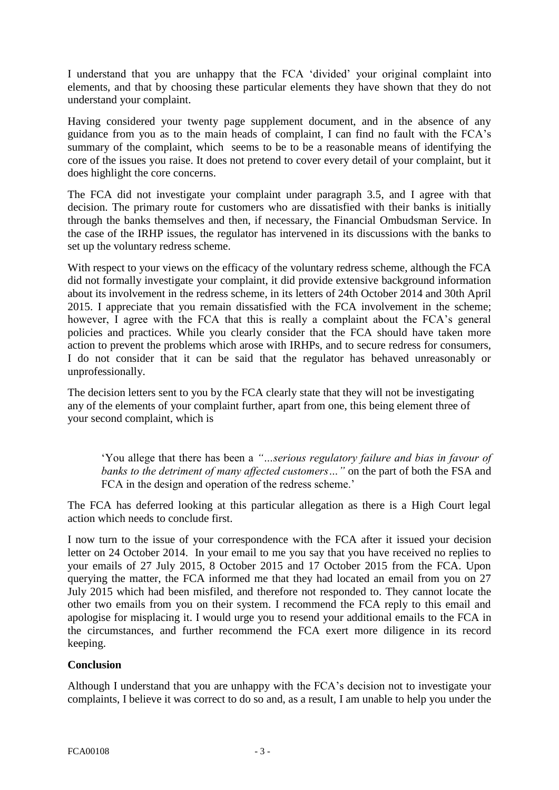I understand that you are unhappy that the FCA 'divided' your original complaint into elements, and that by choosing these particular elements they have shown that they do not understand your complaint.

Having considered your twenty page supplement document, and in the absence of any guidance from you as to the main heads of complaint, I can find no fault with the FCA's summary of the complaint, which seems to be to be a reasonable means of identifying the core of the issues you raise. It does not pretend to cover every detail of your complaint, but it does highlight the core concerns.

The FCA did not investigate your complaint under paragraph 3.5, and I agree with that decision. The primary route for customers who are dissatisfied with their banks is initially through the banks themselves and then, if necessary, the Financial Ombudsman Service. In the case of the IRHP issues, the regulator has intervened in its discussions with the banks to set up the voluntary redress scheme.

With respect to your views on the efficacy of the voluntary redress scheme, although the FCA did not formally investigate your complaint, it did provide extensive background information about its involvement in the redress scheme, in its letters of 24th October 2014 and 30th April 2015. I appreciate that you remain dissatisfied with the FCA involvement in the scheme; however, I agree with the FCA that this is really a complaint about the FCA's general policies and practices. While you clearly consider that the FCA should have taken more action to prevent the problems which arose with IRHPs, and to secure redress for consumers, I do not consider that it can be said that the regulator has behaved unreasonably or unprofessionally.

The decision letters sent to you by the FCA clearly state that they will not be investigating any of the elements of your complaint further, apart from one, this being element three of your second complaint, which is

'You allege that there has been a *"…serious regulatory failure and bias in favour of banks to the detriment of many affected customers…"* on the part of both the FSA and FCA in the design and operation of the redress scheme.'

The FCA has deferred looking at this particular allegation as there is a High Court legal action which needs to conclude first.

I now turn to the issue of your correspondence with the FCA after it issued your decision letter on 24 October 2014. In your email to me you say that you have received no replies to your emails of 27 July 2015, 8 October 2015 and 17 October 2015 from the FCA. Upon querying the matter, the FCA informed me that they had located an email from you on 27 July 2015 which had been misfiled, and therefore not responded to. They cannot locate the other two emails from you on their system. I recommend the FCA reply to this email and apologise for misplacing it. I would urge you to resend your additional emails to the FCA in the circumstances, and further recommend the FCA exert more diligence in its record keeping.

# **Conclusion**

Although I understand that you are unhappy with the FCA's decision not to investigate your complaints, I believe it was correct to do so and, as a result, I am unable to help you under the